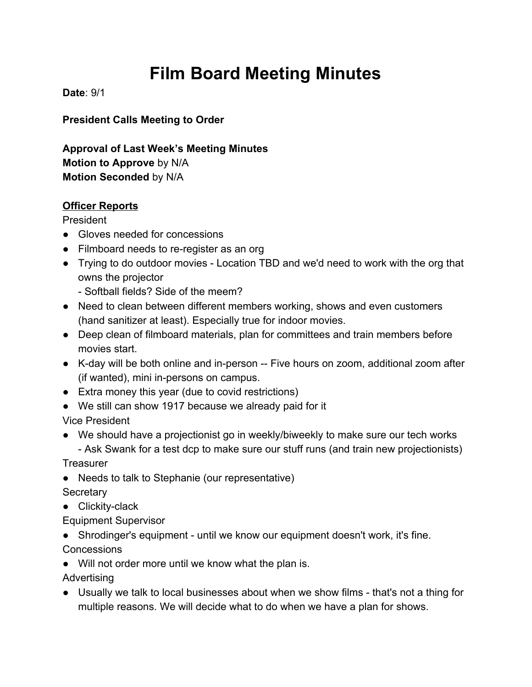# **Film Board Meeting Minutes**

**Date**: 9/1

**President Calls Meeting to Order**

**Approval of Last Week's Meeting Minutes Motion to Approve** by N/A **Motion Seconded** by N/A

## **Officer Reports**

President

- Gloves needed for concessions
- Filmboard needs to re-register as an org
- Trying to do outdoor movies Location TBD and we'd need to work with the org that owns the projector
	- Softball fields? Side of the meem?
- Need to clean between different members working, shows and even customers (hand sanitizer at least). Especially true for indoor movies.
- Deep clean of filmboard materials, plan for committees and train members before movies start.
- K-day will be both online and in-person -- Five hours on zoom, additional zoom after (if wanted), mini in-persons on campus.
- Extra money this year (due to covid restrictions)
- We still can show 1917 because we already paid for it

Vice President

● We should have a projectionist go in weekly/biweekly to make sure our tech works

- Ask Swank for a test dcp to make sure our stuff runs (and train new projectionists)

**Treasurer** 

● Needs to talk to Stephanie (our representative)

**Secretary** 

● Clickity-clack

Equipment Supervisor

● Shrodinger's equipment - until we know our equipment doesn't work, it's fine. **Concessions** 

● Will not order more until we know what the plan is.

**Advertising** 

● Usually we talk to local businesses about when we show films - that's not a thing for multiple reasons. We will decide what to do when we have a plan for shows.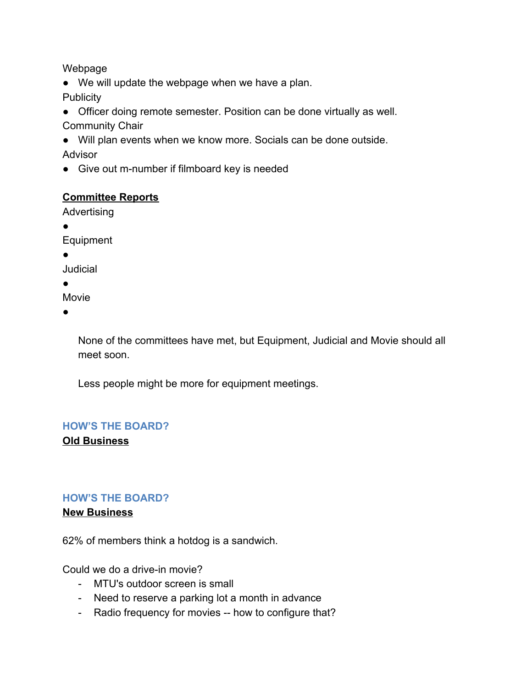Webpage

● We will update the webpage when we have a plan.

**Publicity** 

● Officer doing remote semester. Position can be done virtually as well. Community Chair

● Will plan events when we know more. Socials can be done outside. Advisor

● Give out m-number if filmboard key is needed

# **Committee Reports**

Advertising

●

Equipment

●

Judicial

 $\bullet$ 

Movie

●

None of the committees have met, but Equipment, Judicial and Movie should all meet soon.

Less people might be more for equipment meetings.

#### **HOW'S THE BOARD? Old Business**

# **HOW'S THE BOARD?**

**New Business**

62% of members think a hotdog is a sandwich.

Could we do a drive-in movie?

- MTU's outdoor screen is small
- Need to reserve a parking lot a month in advance
- Radio frequency for movies -- how to configure that?